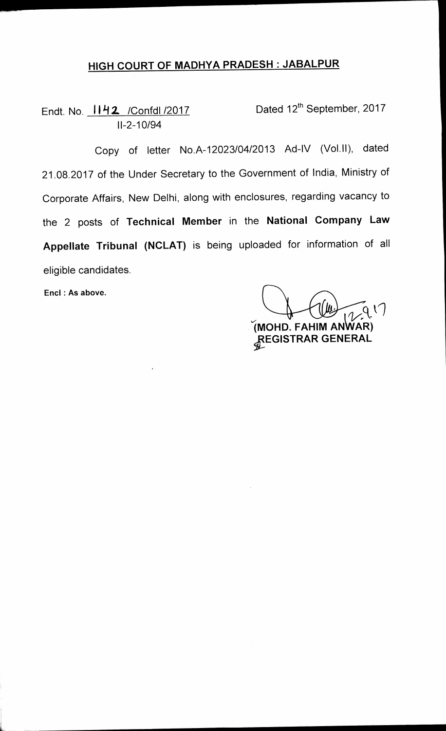## **HIGH COURT OF MADHYA PRADESH : JABALPUR**

Endt. No.  $1142$  /Confdl /2017 Dated 12<sup>th</sup> September, 2017 **11-2-10/94** 

**Copy of letter No.A-12023/04/2013 Ad-IV (Vol.11), dated 21.08.2017 of the Under Secretary to the Government of India, Ministry of Corporate Affairs, New Delhi, along with enclosures, regarding vacancy to the 2 posts of Technical Member in the National Company Law Appellate Tribunal (NCLAT) is being uploaded for information of all eligible candidates.** 

**Encl : As above.** 

**1MOHD. FAHIM ANWAR)** 

**9fEGISTRAR GENERAL**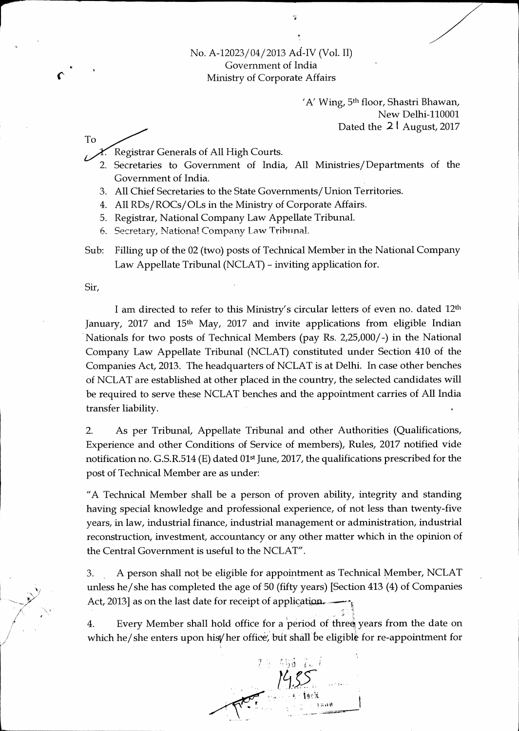No. A-12023/04/2013 Ad-IV (Vol. II) Government of India Ministry of Corporate Affairs

> 'A' Wing, 5<sup>th</sup> floor, Shastri Bhawan, New Delhi-110001 Dated the **2 t** August, 2017

Registrar Generals of All High Courts. Y.

- 2. Secretaries to Government of India, All Ministries/ Departments of the Government of India.
- 3. All Chief Secretaries to the State Governments/Union Territories.
- 4. All RDs/ROCs/OLs in the Ministry of Corporate Affairs.
- 5. Registrar, National Company Law Appellate Tribunal.
- 6. Secretary, National Company Law Tribunal.
- Sub: Filling up of the 02 (two) posts of Technical Member in the National Company Law Appellate Tribunal (NCLAT) - inviting application for.

Sir,

To

I am directed to refer to this Ministry's circular letters of even no. dated 12th January, 2017 and 15<sup>th</sup> May, 2017 and invite applications from eligible Indian Nationals for two posts of Technical Members (pay Rs. 2,25,000/-) in the National Company Law Appellate Tribunal (NCLAT) constituted under Section 410 of the Companies Act, 2013. The headquarters of NCLAT is at Delhi. In case other benches of NCLAT are established at other placed in the country, the selected candidates will be required to serve these NCLAT benches and the appointment carries of All India transfer liability.

2. As per Tribunal, Appellate Tribunal and other Authorities (Qualifications, Experience and other Conditions of Service of members), Rules, 2017 notified vide notification no. G.S.R.514 (E) dated 01st June, 2017, the qualifications prescribed for the post of Technical Member are as under:

"A Technical Member shall be a person of proven ability, integrity and standing having special knowledge and professional experience, of not less than twenty-five years, in law, industrial finance, industrial management or administration, industrial reconstruction, investment, accountancy or any other matter which in the opinion of the Central Government is useful to the NCLAT".

3. A person shall not be eligible for appointment as Technical Member, NCLAT unless he/she has completed the age of 50 (fifty years) [Section 413 (4) of Companies Act, 2013] as on the last date for receipt of application.

4. Every Member shall hold office for a period of three years from the date on which he/she enters upon his her office, but shall be eligible for re-appointment for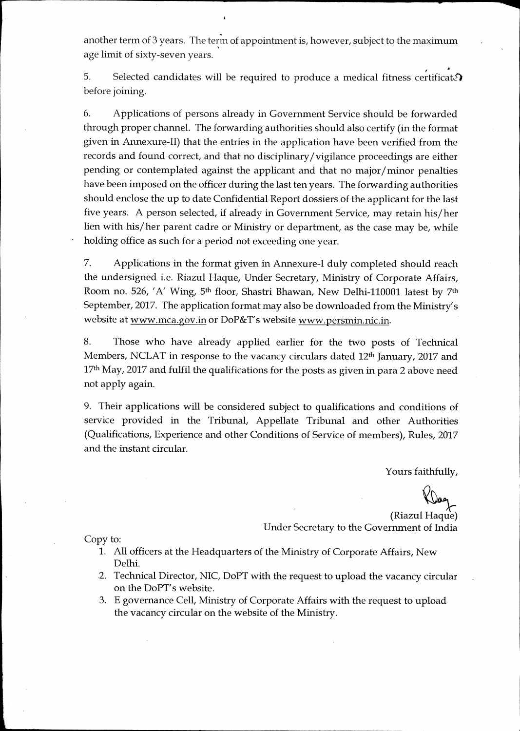another term of 3 years. The term of appointment is, however, subject to the maximum age limit of sixty-seven years.

5. Selected candidates will be required to produce a medical fitness certificate. before joining.

6. Applications of persons already in Government Service should be forwarded through proper channel. The forwarding authorities should also certify (in the format given in Annexure-II) that the entries in the application have been verified from the records and found correct, and that no disciplinary/vigilance proceedings are either pending or contemplated against the applicant and that no major/minor penalties have been imposed on the officer during the last ten years. The forwarding authorities should enclose the up to date Confidential Report dossiers of the applicant for the last five years. A person selected, if already in Government Service, may retain his/her lien with his/her parent cadre or Ministry or department, as the case may be, while holding office as such for a period not exceeding one year.

7. Applications in the format given in Annexure-I duly completed should reach the undersigned i.e. Riazul Hague, Under Secretary, Ministry of Corporate Affairs, Room no. 526, 'A' Wing, 5<sup>th</sup> floor, Shastri Bhawan, New Delhi-110001 latest by 7<sup>th</sup> September, 2017. The application format may also be downloaded from the Ministry's website at www.mca.gov.in or DoP&T's website www.persmin.nic.in.

8. Those who have already applied earlier for the two posts of Technical Members, NCLAT in response to the vacancy circulars dated 12<sup>th</sup> January, 2017 and 17<sup>th</sup> May, 2017 and fulfil the qualifications for the posts as given in para 2 above need not apply again.

9. Their applications will be considered subject to qualifications and conditions of service provided in the Tribunal, Appellate Tribunal and other Authorities (Qualifications, Experience and other Conditions of Service of members), Rules, 2017 and the instant circular.

Yours faithfully,

(Riazul Hague) Under Secretary to the Government of India

Copy to:

- 1. All officers at the Headquarters of the Ministry of Corporate Affairs, New Delhi.
- 2. Technical Director, NIC, DoPT with the request to upload the vacancy circular on the DoPT's website.
- 3. E governance Cell, Ministry of Corporate Affairs with the request to upload the vacancy circular on the website of the Ministry.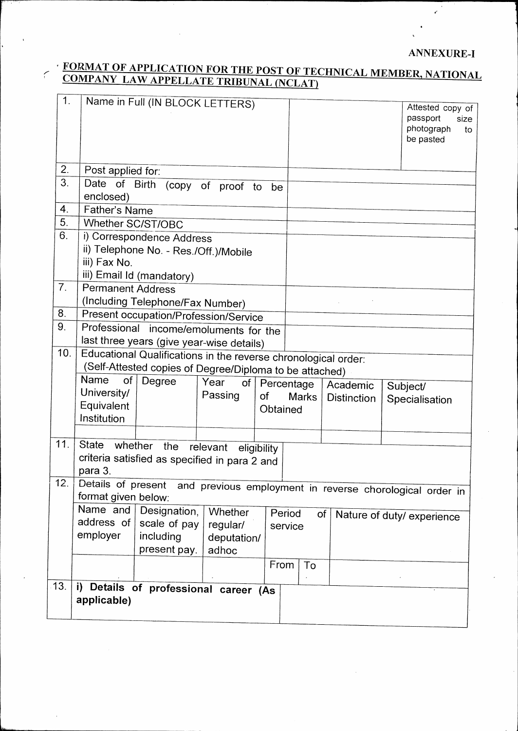## **ANNEXURE-I**

 $\epsilon$ 

## **FORMAT OF APPLICATION FOR THE POST OF TECHNICAL MEMBER, NATIONAL COMPANY LAW APPELLATE TRIBUNAL (NCLAT)**

 $\overline{C}$ 

| 1.             |                                        | Name in Full (IN BLOCK LETTERS)                                             |             |             |            |                    |                                      |  |  |
|----------------|----------------------------------------|-----------------------------------------------------------------------------|-------------|-------------|------------|--------------------|--------------------------------------|--|--|
|                |                                        |                                                                             |             |             |            |                    | Attested copy of<br>passport<br>size |  |  |
|                |                                        |                                                                             |             |             |            |                    | photograph<br>to                     |  |  |
|                |                                        |                                                                             |             |             |            |                    | be pasted                            |  |  |
|                |                                        |                                                                             |             |             |            |                    |                                      |  |  |
| 2.             | Post applied for:                      |                                                                             |             |             |            |                    |                                      |  |  |
| 3.             |                                        | Date of Birth (copy of proof to                                             |             | be          |            |                    |                                      |  |  |
|                | enclosed)                              |                                                                             |             |             |            |                    |                                      |  |  |
| 4.             |                                        | Father's Name                                                               |             |             |            |                    |                                      |  |  |
| 5.             | Whether SC/ST/OBC                      |                                                                             |             |             |            |                    |                                      |  |  |
| 6.             |                                        | i) Correspondence Address                                                   |             |             |            |                    |                                      |  |  |
|                |                                        | ii) Telephone No. - Res./Off.)/Mobile                                       |             |             |            |                    |                                      |  |  |
|                | iii) Fax No.                           |                                                                             |             |             |            |                    |                                      |  |  |
|                |                                        | iii) Email Id (mandatory)                                                   |             |             |            |                    |                                      |  |  |
| 7 <sub>1</sub> | <b>Permanent Address</b>               |                                                                             |             |             |            |                    |                                      |  |  |
|                |                                        | (Including Telephone/Fax Number)                                            |             |             |            |                    |                                      |  |  |
| 8.             | Present occupation/Profession/Service  |                                                                             |             |             |            |                    |                                      |  |  |
| 9.             | Professional income/emoluments for the |                                                                             |             |             |            |                    |                                      |  |  |
|                |                                        | last three years (give year-wise details)                                   |             |             |            |                    |                                      |  |  |
| 10.            |                                        | Educational Qualifications in the reverse chronological order:              |             |             |            |                    |                                      |  |  |
|                |                                        | (Self-Attested copies of Degree/Diploma to be attached)                     |             |             |            |                    |                                      |  |  |
|                | Name<br>of                             | Degree                                                                      | Year<br>of  |             | Percentage | Academic           | Subject/                             |  |  |
|                | University/                            |                                                                             | Passing     | of          | Marks      | <b>Distinction</b> | Specialisation                       |  |  |
|                | Equivalent                             |                                                                             |             | Obtained    |            |                    |                                      |  |  |
|                | Institution                            |                                                                             |             |             |            |                    |                                      |  |  |
|                |                                        |                                                                             |             |             |            |                    |                                      |  |  |
| 11.            | State                                  | whether the                                                                 | relevant    | eligibility |            |                    |                                      |  |  |
|                |                                        | criteria satisfied as specified in para 2 and                               |             |             |            |                    |                                      |  |  |
|                | para 3.                                |                                                                             |             |             |            |                    |                                      |  |  |
| 12.            |                                        | Details of present and previous employment in reverse chorological order in |             |             |            |                    |                                      |  |  |
|                |                                        | format given below:                                                         |             |             |            |                    |                                      |  |  |
|                | Name and                               | Designation,                                                                | Whether     |             | Period     | of                 | Nature of duty/ experience           |  |  |
|                | address of                             | scale of pay                                                                | regular/    |             | service    |                    |                                      |  |  |
|                | employer                               | including                                                                   | deputation/ |             |            |                    |                                      |  |  |
|                |                                        | present pay.                                                                | adhoc       |             |            |                    |                                      |  |  |
|                |                                        |                                                                             |             | From        | To         |                    |                                      |  |  |
| 13.            |                                        |                                                                             |             |             |            |                    |                                      |  |  |
|                |                                        | i) Details of professional career (As                                       |             |             |            |                    |                                      |  |  |
|                | applicable)                            |                                                                             |             |             |            |                    |                                      |  |  |
|                |                                        |                                                                             |             |             |            |                    |                                      |  |  |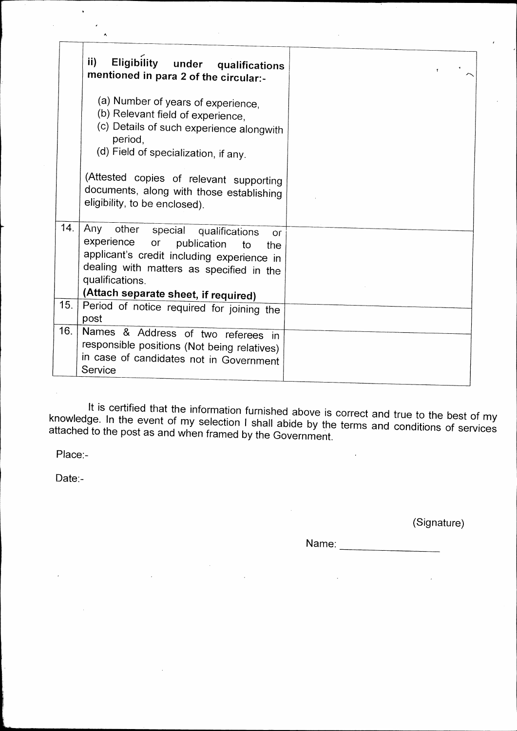It is certified that the information furnished above is correct and true to the best of my knowledge. In the event of my selection I shall abide by the terms and conditions of services attached to the post as and when framed by the Government.

Place:-

Date:-

(Signature)

Name: